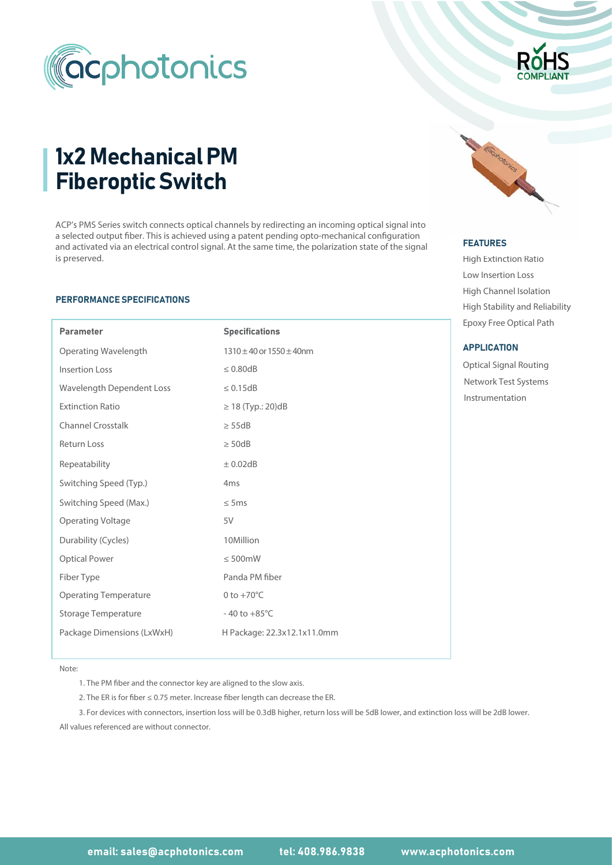



# 1x2 Mechanical PM Fiberoptic Switch

ACP's PMS Series switch connects optical channels by redirecting an incoming optical signal into a selected output fiber. This is achieved using a patent pending opto-mechanical configuration and activated via an electrical control signal. At the same time, the polarization state of the signal is preserved.

#### PERFORMANCE SPECIFICATIONS

I

| <b>Parameter</b>                 | <b>Specifications</b>             |  |  |  |
|----------------------------------|-----------------------------------|--|--|--|
| Operating Wavelength             | $1310 \pm 40$ or $1550 \pm 40$ nm |  |  |  |
| <b>Insertion Loss</b>            | $\leq 0.80$ dB                    |  |  |  |
| <b>Wavelength Dependent Loss</b> | $\leq 0.15dB$                     |  |  |  |
| <b>Extinction Ratio</b>          | $≥ 18$ (Typ.: 20)dB               |  |  |  |
| <b>Channel Crosstalk</b>         | $\geq$ 55dB                       |  |  |  |
| <b>Return Loss</b>               | $\geq$ 50dB                       |  |  |  |
| Repeatability                    | $\pm$ 0.02dB                      |  |  |  |
| Switching Speed (Typ.)           | 4 <sub>ms</sub>                   |  |  |  |
| Switching Speed (Max.)           | $\leq$ 5ms                        |  |  |  |
| <b>Operating Voltage</b>         | 5V                                |  |  |  |
| Durability (Cycles)              | 10Million                         |  |  |  |
| <b>Optical Power</b>             | $\leq 500$ mW                     |  |  |  |
| Fiber Type                       | Panda PM fiber                    |  |  |  |
| <b>Operating Temperature</b>     | 0 to $+70^{\circ}$ C              |  |  |  |
| Storage Temperature              | $-40$ to $+85^{\circ}$ C          |  |  |  |
| Package Dimensions (LxWxH)       | H Package: 22.3x12.1x11.0mm       |  |  |  |



#### FEATURES FEATURES

High Extinction Ratio h Low Insertion Loss High Channel Isolation Epoxy Free Optical Path High Stability and Reliability

#### **APPLICATION**

Optical Signal Routing Instrumentation Network Test Systems

Note:

1. The PM fiber and the connector key are aligned to the slow axis.

2. The ER is for fiber ≤ 0.75 meter. Increase fiber length can decrease the ER.

All values referenced are without connector. 3. For devices with connectors, insertion loss will be 0.3dB higher, return loss will be 5dB lower, and extinction loss will be 2dB lower.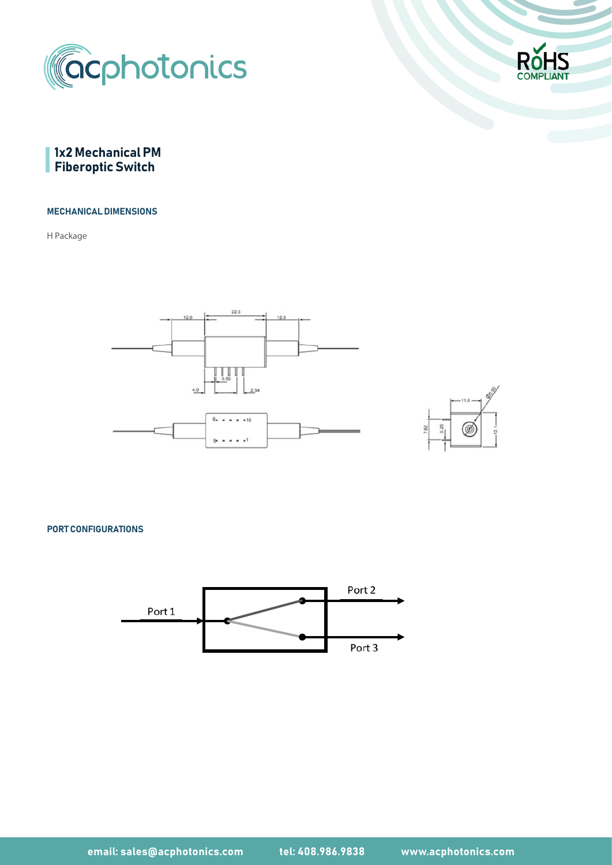





# MECHANICAL DIMENSIONS

H Package





PORT CONFIGURATIONS